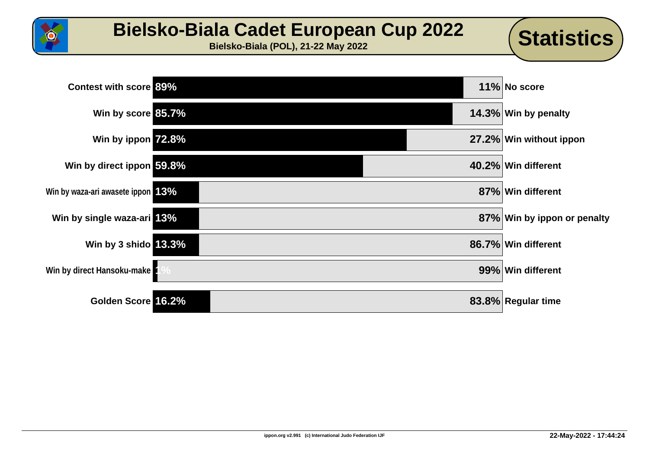